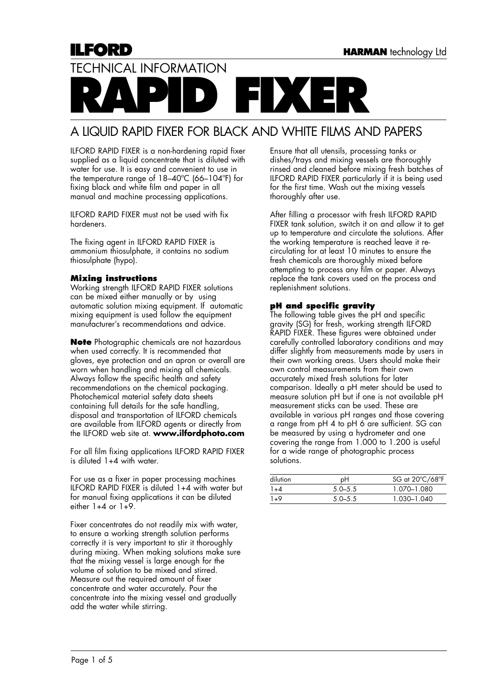TECHNICAL INFORMATION

 $I$  or  $I$ 

# **RAPID FIXER**

# A LIQUID RAPID FIXER FOR BLACK AND WHITE FILMS AND PAPERS

ILFORD RAPID FIXER is a non-hardening rapid fixer supplied as a liquid concentrate that is diluted with water for use. It is easy and convenient to use in the temperature range of 18–40ºC (66–104ºF) for fixing black and white film and paper in all manual and machine processing applications.

ILFORD RAPID FIXER must not be used with fix hardeners.

The fixing agent in ILFORD RAPID FIXER is ammonium thiosulphate, it contains no sodium thiosulphate (hypo).

# **Mixing instructions**

Working strength ILFORD RAPID FIXER solutions can be mixed either manually or by using automatic solution mixing equipment. If automatic mixing equipment is used follow the equipment manufacturer's recommendations and advice.

**Note** Photographic chemicals are not hazardous when used correctly. It is recommended that gloves, eye protection and an apron or overall are worn when handling and mixing all chemicals. Always follow the specific health and safety recommendations on the chemical packaging. Photochemical material safety data sheets containing full details for the safe handling, disposal and transportation of ILFORD chemicals are available from ILFORD agents or directly from the ILFORD web site at. **www.ilfordphoto.com**

For all film fixing applications ILFORD RAPID FIXER is diluted 1+4 with water.

For use as a fixer in paper processing machines ILFORD RAPID FIXER is diluted 1+4 with water but for manual fixing applications it can be diluted either  $1+4$  or  $1+9$ .

Fixer concentrates do not readily mix with water, to ensure a working strength solution performs correctly it is very important to stir it thoroughly during mixing. When making solutions make sure that the mixing vessel is large enough for the volume of solution to be mixed and stirred. Measure out the required amount of fixer concentrate and water accurately. Pour the concentrate into the mixing vessel and gradually add the water while stirring.

Ensure that all utensils, processing tanks or dishes/trays and mixing vessels are thoroughly rinsed and cleaned before mixing fresh batches of ILFORD RAPID FIXER particularly if it is being used for the first time. Wash out the mixing vessels thoroughly after use.

After filling a processor with fresh ILFORD RAPID FIXER tank solution, switch it on and allow it to get up to temperature and circulate the solutions. After the working temperature is reached leave it recirculating for at least 10 minutes to ensure the fresh chemicals are thoroughly mixed before attempting to process any film or paper. Always replace the tank covers used on the process and replenishment solutions.

## **pH and specific gravity**

The following table gives the pH and specific gravity (SG) for fresh, working strength ILFORD RAPID FIXER. These figures were obtained under carefully controlled laboratory conditions and may differ slightly from measurements made by users in their own working areas. Users should make their own control measurements from their own accurately mixed fresh solutions for later comparison. Ideally a pH meter should be used to measure solution pH but if one is not available pH measurement sticks can be used. These are available in various pH ranges and those covering a range from pH 4 to pH 6 are sufficient. SG can be measured by using a hydrometer and one covering the range from 1.000 to 1.200 is useful for a wide range of photographic process solutions.

| dilution | pН        | SG at 20°C/68°F |
|----------|-----------|-----------------|
| 1+4      | $50 - 55$ | 1 070-1 080     |
| $1 + 9$  | $50 - 55$ | 1 030-1 040     |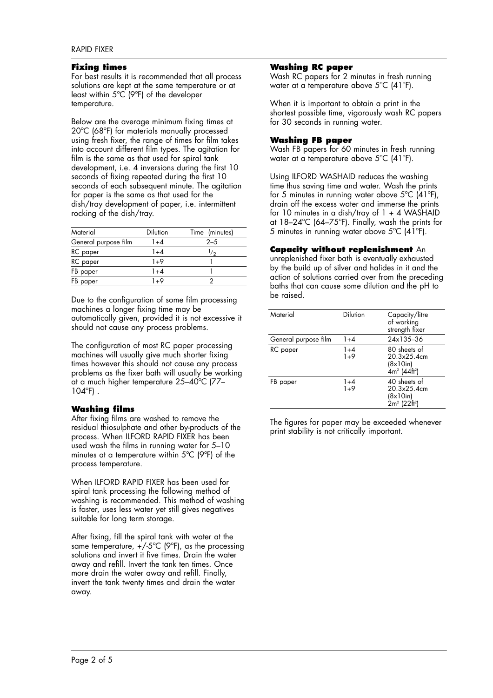#### **Fixing times**

For best results it is recommended that all process solutions are kept at the same temperature or at least within 5ºC (9ºF) of the developer temperature.

Below are the average minimum fixing times at 20ºC (68ºF) for materials manually processed using fresh fixer, the range of times for film takes into account different film types. The agitation for film is the same as that used for spiral tank development, i.e. 4 inversions during the first 10 seconds of fixing repeated during the first 10 seconds of each subsequent minute. The agitation for paper is the same as that used for the dish/tray development of paper, i.e. intermittent rocking of the dish/tray.

| Material             | <b>Dilution</b> | Time (minutes) |
|----------------------|-----------------|----------------|
| General purpose film | 1+4             | $2 - 5$        |
| RC paper             | $1 + 4$         | $\sqrt{2}$     |
| RC paper             | $1+9$           |                |
| FB paper             | 1+4             |                |
| FB paper             | 1+9             |                |

Due to the configuration of some film processing machines a longer fixing time may be automatically given, provided it is not excessive it should not cause any process problems.

The configuration of most RC paper processing machines will usually give much shorter fixing times however this should not cause any process problems as the fixer bath will usually be working at a much higher temperature 25–40ºC (77– 104ºF) .

#### **Washing films**

After fixing films are washed to remove the residual thiosulphate and other by-products of the process. When ILFORD RAPID FIXER has been used wash the films in running water for 5–10 minutes at a temperature within 5ºC (9ºF) of the process temperature.

When ILFORD RAPID FIXER has been used for spiral tank processing the following method of washing is recommended. This method of washing is faster, uses less water yet still gives negatives suitable for long term storage.

After fixing, fill the spiral tank with water at the same temperature,  $+/-5^{\circ}C$  (9°F), as the processing solutions and invert it five times. Drain the water away and refill. Invert the tank ten times. Once more drain the water away and refill. Finally, invert the tank twenty times and drain the water away.

#### **Washing RC paper**

Wash RC papers for 2 minutes in fresh running water at a temperature above 5ºC (41ºF).

When it is important to obtain a print in the shortest possible time, vigorously wash RC papers for 30 seconds in running water.

#### **Washing FB paper**

Wash FB papers for 60 minutes in fresh running water at a temperature above 5ºC (41ºF).

Using ILFORD WASHAID reduces the washing time thus saving time and water. Wash the prints for 5 minutes in running water above  $5^{\circ}$ C (41 $^{\circ}$ F), drain off the excess water and immerse the prints for 10 minutes in a dish/tray of  $1 + 4$  WASHAID at 18–24ºC (64–75ºF). Finally, wash the prints for 5 minutes in running water above 5ºC (41ºF).

#### **Capacity without replenishment** An

unreplenished fixer bath is eventually exhausted by the build up of silver and halides in it and the action of solutions carried over from the preceding baths that can cause some dilution and the pH to be raised.

| Material             | <b>Dilution</b> | Capacity/litre<br>of working<br>strength fixer                           |
|----------------------|-----------------|--------------------------------------------------------------------------|
| General purpose film | $1 + 4$         | 24x135-36                                                                |
| RC paper             | 1+4<br>$1+9$    | 80 sheets of<br>20 3x25 4cm<br>(8x10in)<br>$4m^2$ (44ft <sup>2</sup> )   |
| FB paper             | 1+4<br>$1+9$    | $40$ sheets of<br>20.3x25.4cm<br>(8x10in)<br>$2m^2$ (22ft <sup>2</sup> ) |

The figures for paper may be exceeded whenever print stability is not critically important.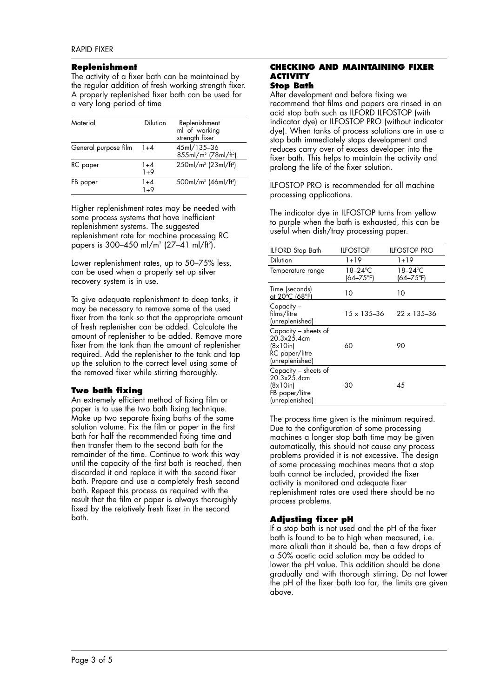#### **Replenishment**

The activity of a fixer bath can be maintained by the regular addition of fresh working strength fixer. A properly replenished fixer bath can be used for a very long period of time

| Material             | <b>Dilution</b>  | Replenishment<br>ml of working<br>strength fixer            |
|----------------------|------------------|-------------------------------------------------------------|
| General purpose film | 1+4              | 45ml/135-36<br>855ml/m <sup>2</sup> (78ml/ft <sup>2</sup> ) |
| RC paper             | $1 + 4$<br>$1+9$ | 250ml/m <sup>2</sup> (23ml/ft <sup>2</sup> )                |
| FB paper             | 1+4<br>1+9       | 500ml/m <sup>2</sup> (46ml/ft <sup>2</sup> )                |

Higher replenishment rates may be needed with some process systems that have inefficient replenishment systems. The suggested replenishment rate for machine processing RC papers is 300–450 ml/m2 (27–41 ml/ft2 ).

Lower replenishment rates, up to 50–75% less, can be used when a properly set up silver recovery system is in use.

To give adequate replenishment to deep tanks, it may be necessary to remove some of the used fixer from the tank so that the appropriate amount of fresh replenisher can be added. Calculate the amount of replenisher to be added. Remove more fixer from the tank than the amount of replenisher required. Add the replenisher to the tank and top up the solution to the correct level using some of the removed fixer while stirring thoroughly.

#### **Two bath fixing**

An extremely efficient method of fixing film or paper is to use the two bath fixing technique. Make up two separate fixing baths of the same solution volume. Fix the film or paper in the first bath for half the recommended fixing time and then transfer them to the second bath for the remainder of the time. Continue to work this way until the capacity of the first bath is reached, then discarded it and replace it with the second fixer bath. Prepare and use a completely fresh second bath. Repeat this process as required with the result that the film or paper is always thoroughly fixed by the relatively fresh fixer in the second bath.

#### **CHECKING AND MAINTAINING FIXER ACTIVITY Stop Bath**

After development and before fixing we recommend that films and papers are rinsed in an acid stop bath such as ILFORD ILFOSTOP (with indicator dye) or ILFOSTOP PRO (without indicator dye). When tanks of process solutions are in use a stop bath immediately stops development and reduces carry over of excess developer into the fixer bath. This helps to maintain the activity and prolong the life of the fixer solution.

ILFOSTOP PRO is recommended for all machine processing applications.

The indicator dye in ILFOSTOP turns from yellow to purple when the bath is exhausted, this can be useful when dish/tray processing paper.

| <b>ILFORD</b> Stop Bath                                                              | <b>ILFOSTOP</b>      | <b>ILFOSTOP PRO</b>             |
|--------------------------------------------------------------------------------------|----------------------|---------------------------------|
| Dilution                                                                             | 1+19                 | 1+19                            |
| Temperature range                                                                    | 18–24°C<br>(64–75°F) | 18–24°C<br>$(64 - 75^{\circ}F)$ |
| Time (seconds)<br><u>at 20°C (68°F)</u>                                              | 10                   | 10                              |
| Capacity –<br>films/litre<br>(unreplenished)                                         | 15 x 135–36          | $22 \times 135 - 36$            |
| Capacity - sheets of<br>20.3x25.4cm<br>(8x10in)<br>RC paper/litre<br>(unreplenished) | 60                   | 90                              |
| Capacity - sheets of<br>20.3x25.4cm<br>(8x10in)<br>FB paper/litre<br>(unreplenished) | 30                   | 45                              |

The process time given is the minimum required. Due to the configuration of some processing machines a longer stop bath time may be given automatically, this should not cause any process problems provided it is not excessive. The design of some processing machines means that a stop bath cannot be included, provided the fixer activity is monitored and adequate fixer replenishment rates are used there should be no process problems.

#### **Adjusting fixer pH**

If a stop bath is not used and the pH of the fixer bath is found to be to high when measured, i.e. more alkali than it should be, then a few drops of a 50% acetic acid solution may be added to lower the pH value. This addition should be done gradually and with thorough stirring. Do not lower the pH of the fixer bath too far, the limits are given above.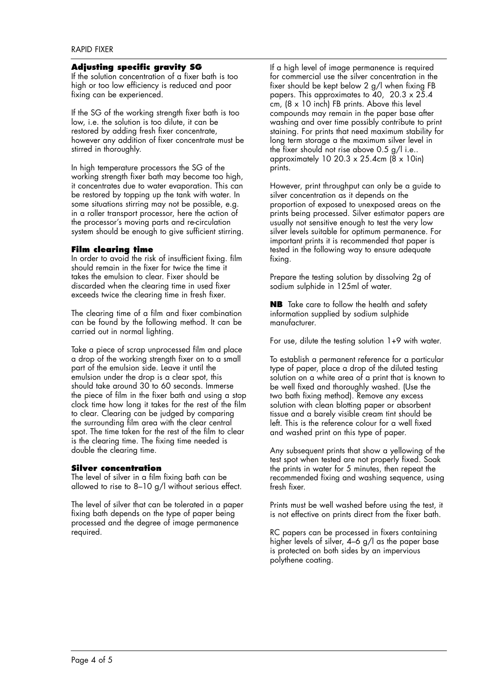#### **Adjusting specific gravity SG**

If the solution concentration of a fixer bath is too high or too low efficiency is reduced and poor fixing can be experienced.

If the SG of the working strength fixer bath is too low, i.e. the solution is too dilute, it can be restored by adding fresh fixer concentrate, however any addition of fixer concentrate must be stirred in thoroughly.

In high temperature processors the SG of the working strength fixer bath may become too high, it concentrates due to water evaporation. This can be restored by topping up the tank with water. In some situations stirring may not be possible, e.g. in a roller transport processor, here the action of the processor's moving parts and re-circulation system should be enough to give sufficient stirring.

## **Film clearing time**

In order to avoid the risk of insufficient fixing. film should remain in the fixer for twice the time it takes the emulsion to clear. Fixer should be discarded when the clearing time in used fixer exceeds twice the clearing time in fresh fixer.

The clearing time of a film and fixer combination can be found by the following method. It can be carried out in normal lighting.

Take a piece of scrap unprocessed film and place a drop of the working strength fixer on to a small part of the emulsion side. Leave it until the emulsion under the drop is a clear spot, this should take around 30 to 60 seconds. Immerse the piece of film in the fixer bath and using a stop clock time how long it takes for the rest of the film to clear. Clearing can be judged by comparing the surrounding film area with the clear central spot. The time taken for the rest of the film to clear is the clearing time. The fixing time needed is double the clearing time.

# **Silver concentration**

The level of silver in a film fixing bath can be allowed to rise to 8–10 g/l without serious effect.

The level of silver that can be tolerated in a paper fixing bath depends on the type of paper being processed and the degree of image permanence required.

If a high level of image permanence is required for commercial use the silver concentration in the fixer should be kept below 2 g/l when fixing FB papers. This approximates to 40, 20.3 x 25.4 cm, (8 x 10 inch) FB prints. Above this level compounds may remain in the paper base after washing and over time possibly contribute to print staining. For prints that need maximum stability for long term storage a the maximum silver level in the fixer should not rise above 0.5 g/l i.e.. approximately 10 20.3 x 25.4cm  $(8 \times 10)$ in) prints.

However, print throughput can only be a guide to silver concentration as it depends on the proportion of exposed to unexposed areas on the prints being processed. Silver estimator papers are usually not sensitive enough to test the very low silver levels suitable for optimum permanence. For important prints it is recommended that paper is tested in the following way to ensure adequate fixing.

Prepare the testing solution by dissolving 2g of sodium sulphide in 125ml of water.

**NB** Take care to follow the health and safety information supplied by sodium sulphide manufacturer.

For use, dilute the testing solution 1+9 with water.

To establish a permanent reference for a particular type of paper, place a drop of the diluted testing solution on a white area of a print that is known to be well fixed and thoroughly washed. (Use the two bath fixing method). Remove any excess solution with clean blotting paper or absorbent tissue and a barely visible cream tint should be left. This is the reference colour for a well fixed and washed print on this type of paper.

Any subsequent prints that show a yellowing of the test spot when tested are not properly fixed. Soak the prints in water for 5 minutes, then repeat the recommended fixing and washing sequence, using fresh fixer.

Prints must be well washed before using the test, it is not effective on prints direct from the fixer bath.

RC papers can be processed in fixers containing higher levels of silver, 4–6 g/l as the paper base is protected on both sides by an impervious polythene coating.